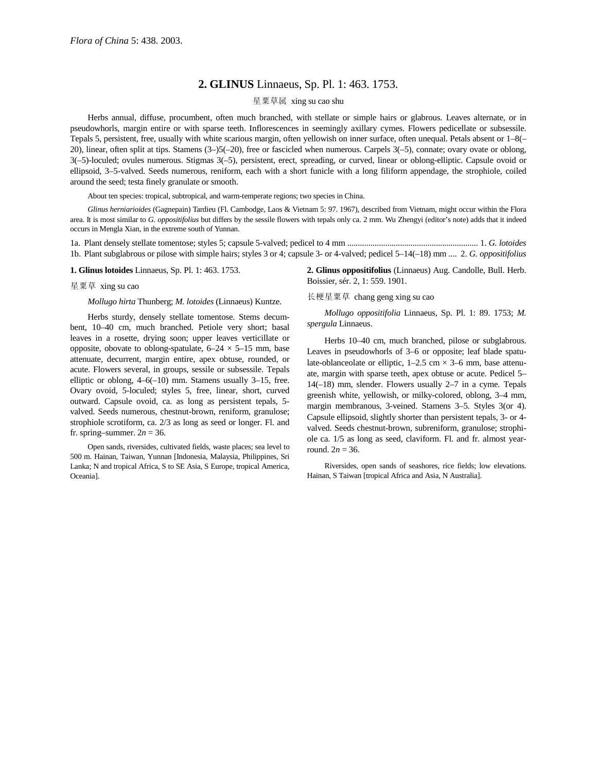## **2. GLINUS** Linnaeus, Sp. Pl. 1: 463. 1753.

## 星粟草属 xing su cao shu

Herbs annual, diffuse, procumbent, often much branched, with stellate or simple hairs or glabrous. Leaves alternate, or in pseudowhorls, margin entire or with sparse teeth. Inflorescences in seemingly axillary cymes. Flowers pedicellate or subsessile. Tepals 5, persistent, free, usually with white scarious margin, often yellowish on inner surface, often unequal. Petals absent or 1–8(– 20), linear, often split at tips. Stamens (3–)5(–20), free or fascicled when numerous. Carpels 3(–5), connate; ovary ovate or oblong, 3(–5)-loculed; ovules numerous. Stigmas 3(–5), persistent, erect, spreading, or curved, linear or oblong-elliptic. Capsule ovoid or ellipsoid, 3–5-valved. Seeds numerous, reniform, each with a short funicle with a long filiform appendage, the strophiole, coiled around the seed; testa finely granulate or smooth.

About ten species: tropical, subtropical, and warm-temperate regions; two species in China.

*Glinus herniarioides* (Gagnepain) Tardieu (Fl. Cambodge, Laos & Vietnam 5: 97. 1967), described from Vietnam, might occur within the Flora area. It is most similar to *G. oppositifolius* but differs by the sessile flowers with tepals only ca. 2 mm. Wu Zhengyi (editor's note) adds that it indeed occurs in Mengla Xian, in the extreme south of Yunnan.

1a. Plant densely stellate tomentose; styles 5; capsule 5-valved; pedicel to 4 mm .............................................................. 1. *G. lotoides* 1b. Plant subglabrous or pilose with simple hairs; styles 3 or 4; capsule 3- or 4-valved; pedicel 5–14(–18) mm .... 2. *G. oppositifolius*

**1. Glinus lotoides** Linnaeus, Sp. Pl. 1: 463. 1753.

## 星粟草 xing su cao

*Mollugo hirta* Thunberg; *M. lotoides* (Linnaeus) Kuntze.

Herbs sturdy, densely stellate tomentose. Stems decumbent, 10–40 cm, much branched. Petiole very short; basal leaves in a rosette, drying soon; upper leaves verticillate or opposite, obovate to oblong-spatulate,  $6-24 \times 5-15$  mm, base attenuate, decurrent, margin entire, apex obtuse, rounded, or acute. Flowers several, in groups, sessile or subsessile. Tepals elliptic or oblong, 4–6(–10) mm. Stamens usually 3–15, free. Ovary ovoid, 5-loculed; styles 5, free, linear, short, curved outward. Capsule ovoid, ca. as long as persistent tepals, 5 valved. Seeds numerous, chestnut-brown, reniform, granulose; strophiole scrotiform, ca. 2/3 as long as seed or longer. Fl. and fr. spring–summer.  $2n = 36$ .

Open sands, riversides, cultivated fields, waste places; sea level to 500 m. Hainan, Taiwan, Yunnan [Indonesia, Malaysia, Philippines, Sri Lanka; N and tropical Africa, S to SE Asia, S Europe, tropical America, Oceania].

**2. Glinus oppositifolius** (Linnaeus) Aug. Candolle, Bull. Herb. Boissier, sér. 2, 1: 559. 1901.

长梗星粟草 chang geng xing su cao

*Mollugo oppositifolia* Linnaeus, Sp. Pl. 1: 89. 1753; *M. spergula* Linnaeus.

Herbs 10–40 cm, much branched, pilose or subglabrous. Leaves in pseudowhorls of 3–6 or opposite; leaf blade spatulate-oblanceolate or elliptic,  $1-2.5$  cm  $\times$  3–6 mm, base attenuate, margin with sparse teeth, apex obtuse or acute. Pedicel 5– 14(–18) mm, slender. Flowers usually 2–7 in a cyme. Tepals greenish white, yellowish, or milky-colored, oblong, 3–4 mm, margin membranous, 3-veined. Stamens 3–5. Styles 3(or 4). Capsule ellipsoid, slightly shorter than persistent tepals, 3- or 4 valved. Seeds chestnut-brown, subreniform, granulose; strophiole ca. 1/5 as long as seed, claviform. Fl. and fr. almost yearround.  $2n = 36$ .

Riversides, open sands of seashores, rice fields; low elevations. Hainan, S Taiwan [tropical Africa and Asia, N Australia].